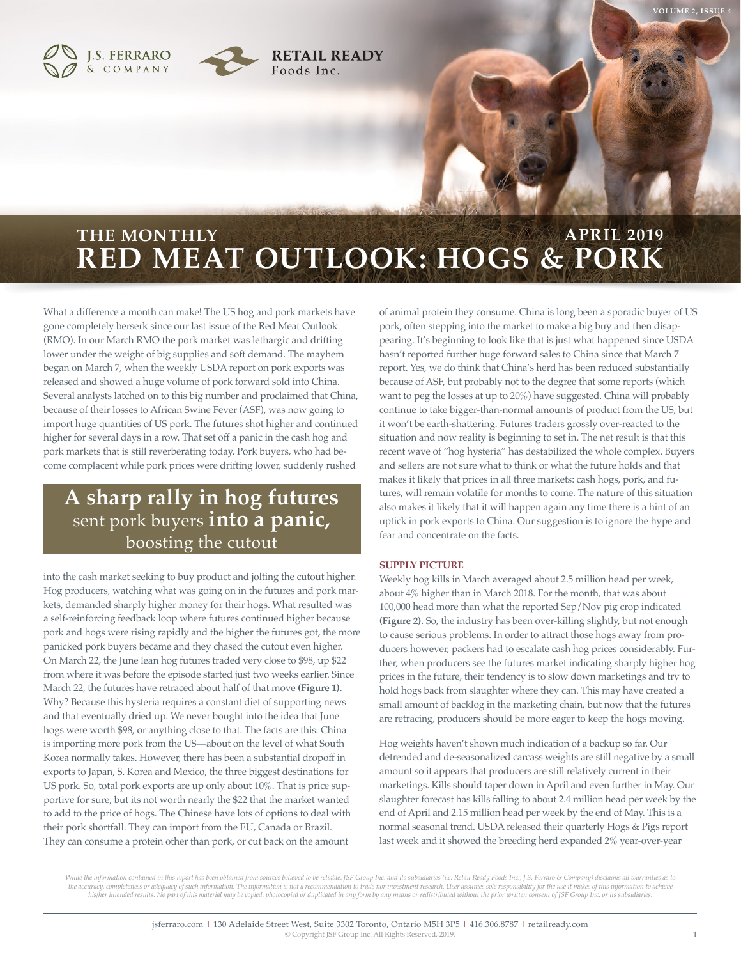

# **RED MEAT OUTLOOK: HOGS & PORK THE MONTHLY APRIL 2019**

What a difference a month can make! The US hog and pork markets have gone completely berserk since our last issue of the Red Meat Outlook (RMO). In our March RMO the pork market was lethargic and drifting lower under the weight of big supplies and soft demand. The mayhem began on March 7, when the weekly USDA report on pork exports was released and showed a huge volume of pork forward sold into China. Several analysts latched on to this big number and proclaimed that China, because of their losses to African Swine Fever (ASF), was now going to import huge quantities of US pork. The futures shot higher and continued higher for several days in a row. That set off a panic in the cash hog and pork markets that is still reverberating today. Pork buyers, who had become complacent while pork prices were drifting lower, suddenly rushed

### **A sharp rally in hog futures** sent pork buyers **into a panic,** boosting the cutout

into the cash market seeking to buy product and jolting the cutout higher. Hog producers, watching what was going on in the futures and pork markets, demanded sharply higher money for their hogs. What resulted was a self-reinforcing feedback loop where futures continued higher because pork and hogs were rising rapidly and the higher the futures got, the more panicked pork buyers became and they chased the cutout even higher. On March 22, the June lean hog futures traded very close to \$98, up \$22 from where it was before the episode started just two weeks earlier. Since March 22, the futures have retraced about half of that move **(Figure 1)**. Why? Because this hysteria requires a constant diet of supporting news and that eventually dried up. We never bought into the idea that June hogs were worth \$98, or anything close to that. The facts are this: China is importing more pork from the US—about on the level of what South Korea normally takes. However, there has been a substantial dropoff in exports to Japan, S. Korea and Mexico, the three biggest destinations for US pork. So, total pork exports are up only about 10%. That is price supportive for sure, but its not worth nearly the \$22 that the market wanted to add to the price of hogs. The Chinese have lots of options to deal with their pork shortfall. They can import from the EU, Canada or Brazil. They can consume a protein other than pork, or cut back on the amount

of animal protein they consume. China is long been a sporadic buyer of US pork, often stepping into the market to make a big buy and then disappearing. It's beginning to look like that is just what happened since USDA hasn't reported further huge forward sales to China since that March 7 report. Yes, we do think that China's herd has been reduced substantially because of ASF, but probably not to the degree that some reports (which want to peg the losses at up to 20%) have suggested. China will probably continue to take bigger-than-normal amounts of product from the US, but it won't be earth-shattering. Futures traders grossly over-reacted to the situation and now reality is beginning to set in. The net result is that this recent wave of "hog hysteria" has destabilized the whole complex. Buyers and sellers are not sure what to think or what the future holds and that makes it likely that prices in all three markets: cash hogs, pork, and futures, will remain volatile for months to come. The nature of this situation also makes it likely that it will happen again any time there is a hint of an uptick in pork exports to China. Our suggestion is to ignore the hype and fear and concentrate on the facts.

### **SUPPLY PICTURE**

Weekly hog kills in March averaged about 2.5 million head per week, about 4% higher than in March 2018. For the month, that was about 100,000 head more than what the reported Sep/Nov pig crop indicated **(Figure 2)**. So, the industry has been over-killing slightly, but not enough to cause serious problems. In order to attract those hogs away from producers however, packers had to escalate cash hog prices considerably. Further, when producers see the futures market indicating sharply higher hog prices in the future, their tendency is to slow down marketings and try to hold hogs back from slaughter where they can. This may have created a small amount of backlog in the marketing chain, but now that the futures are retracing, producers should be more eager to keep the hogs moving.

Hog weights haven't shown much indication of a backup so far. Our detrended and de-seasonalized carcass weights are still negative by a small amount so it appears that producers are still relatively current in their marketings. Kills should taper down in April and even further in May. Our slaughter forecast has kills falling to about 2.4 million head per week by the end of April and 2.15 million head per week by the end of May. This is a normal seasonal trend. USDA released their quarterly Hogs & Pigs report last week and it showed the breeding herd expanded 2% year-over-year

While the information contained in this report has been obtained from sources believed to be reliable, JSF Group Inc. and its subsidiaries (i.e. Retail Ready Foods Inc., J.S. Ferraro & Company) disclains all warranties as

**VOLUME 2, ISSUE 4**